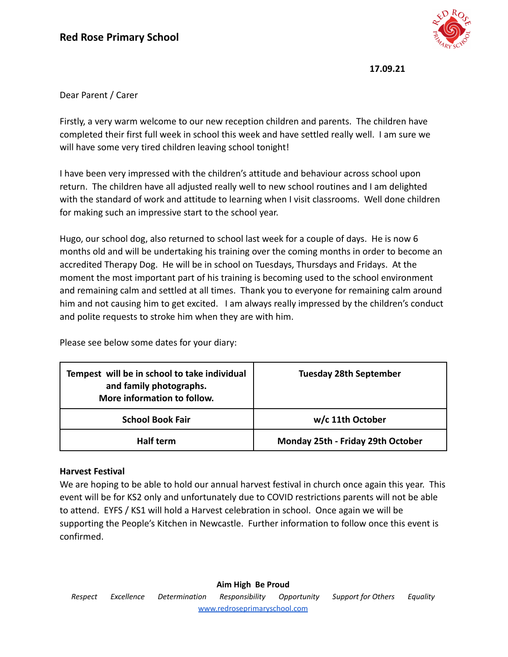

## Dear Parent / Carer

Firstly, a very warm welcome to our new reception children and parents. The children have completed their first full week in school this week and have settled really well. I am sure we will have some very tired children leaving school tonight!

I have been very impressed with the children's attitude and behaviour across school upon return. The children have all adjusted really well to new school routines and I am delighted with the standard of work and attitude to learning when I visit classrooms. Well done children for making such an impressive start to the school year.

Hugo, our school dog, also returned to school last week for a couple of days. He is now 6 months old and will be undertaking his training over the coming months in order to become an accredited Therapy Dog. He will be in school on Tuesdays, Thursdays and Fridays. At the moment the most important part of his training is becoming used to the school environment and remaining calm and settled at all times. Thank you to everyone for remaining calm around him and not causing him to get excited. I am always really impressed by the children's conduct and polite requests to stroke him when they are with him.

Please see below some dates for your diary:

| Tempest will be in school to take individual<br>and family photographs.<br>More information to follow. | <b>Tuesday 28th September</b>     |
|--------------------------------------------------------------------------------------------------------|-----------------------------------|
| <b>School Book Fair</b>                                                                                | w/c 11th October                  |
| Half term                                                                                              | Monday 25th - Friday 29th October |

#### **Harvest Festival**

We are hoping to be able to hold our annual harvest festival in church once again this year. This event will be for KS2 only and unfortunately due to COVID restrictions parents will not be able to attend. EYFS / KS1 will hold a Harvest celebration in school. Once again we will be supporting the People's Kitchen in Newcastle. Further information to follow once this event is confirmed.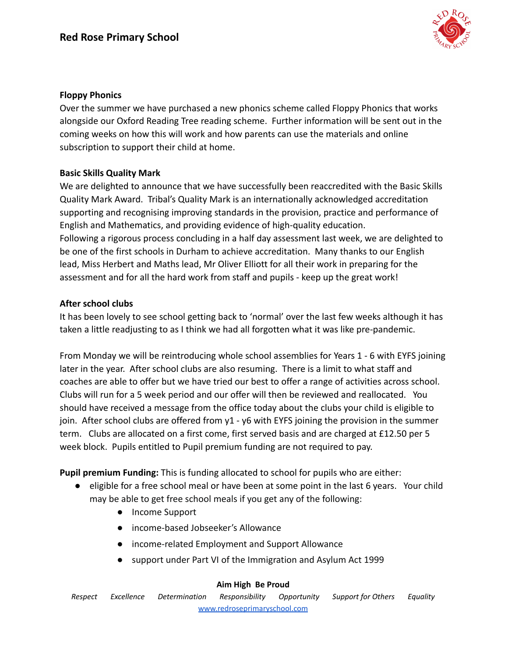

## **Floppy Phonics**

Over the summer we have purchased a new phonics scheme called Floppy Phonics that works alongside our Oxford Reading Tree reading scheme. Further information will be sent out in the coming weeks on how this will work and how parents can use the materials and online subscription to support their child at home.

# **Basic Skills Quality Mark**

We are delighted to announce that we have successfully been reaccredited with the Basic Skills Quality Mark Award. Tribal's Quality Mark is an internationally acknowledged accreditation supporting and recognising improving standards in the provision, practice and performance of English and Mathematics, and providing evidence of high-quality education. Following a rigorous process concluding in a half day assessment last week, we are delighted to be one of the first schools in Durham to achieve accreditation. Many thanks to our English lead, Miss Herbert and Maths lead, Mr Oliver Elliott for all their work in preparing for the assessment and for all the hard work from staff and pupils - keep up the great work!

#### **After school clubs**

It has been lovely to see school getting back to 'normal' over the last few weeks although it has taken a little readjusting to as I think we had all forgotten what it was like pre-pandemic.

From Monday we will be reintroducing whole school assemblies for Years 1 - 6 with EYFS joining later in the year. After school clubs are also resuming. There is a limit to what staff and coaches are able to offer but we have tried our best to offer a range of activities across school. Clubs will run for a 5 week period and our offer will then be reviewed and reallocated. You should have received a message from the office today about the clubs your child is eligible to join. After school clubs are offered from y1 - y6 with EYFS joining the provision in the summer term. Clubs are allocated on a first come, first served basis and are charged at £12.50 per 5 week block. Pupils entitled to Pupil premium funding are not required to pay.

**Pupil premium Funding:** This is funding allocated to school for pupils who are either:

- eligible for a free school meal or have been at some point in the last 6 years. Your child may be able to get free school meals if you get any of the following:
	- Income Support
	- income-based Jobseeker's Allowance
	- income-related Employment and Support Allowance
	- support under Part VI of the Immigration and Asylum Act 1999

#### **Aim High Be Proud**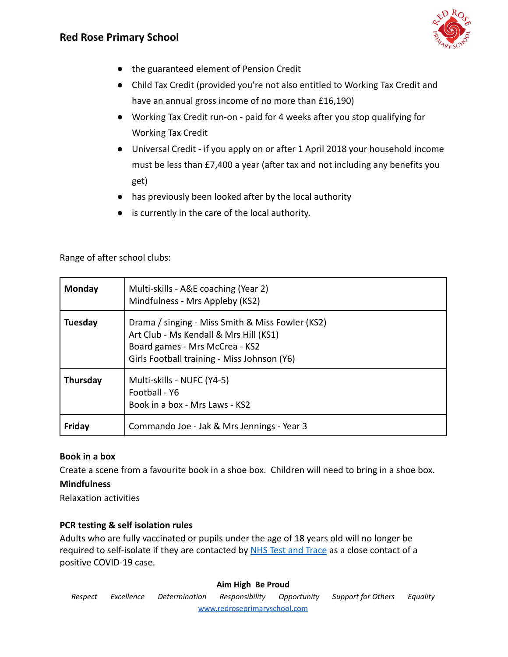

- the guaranteed element of Pension Credit
- Child Tax Credit (provided you're not also entitled to Working Tax Credit and have an annual gross income of no more than £16,190)
- Working Tax Credit run-on paid for 4 weeks after you stop qualifying for Working Tax Credit
- Universal Credit if you apply on or after 1 April 2018 your household income must be less than £7,400 a year (after tax and not including any benefits you get)
- has previously been looked after by the local authority
- is currently in the care of the local authority.

Range of after school clubs:

| <b>Monday</b>   | Multi-skills - A&E coaching (Year 2)<br>Mindfulness - Mrs Appleby (KS2)                                                                                                     |
|-----------------|-----------------------------------------------------------------------------------------------------------------------------------------------------------------------------|
| <b>Tuesday</b>  | Drama / singing - Miss Smith & Miss Fowler (KS2)<br>Art Club - Ms Kendall & Mrs Hill (KS1)<br>Board games - Mrs McCrea - KS2<br>Girls Football training - Miss Johnson (Y6) |
| <b>Thursday</b> | Multi-skills - NUFC (Y4-5)<br>Football - Y6<br>Book in a box - Mrs Laws - KS2                                                                                               |
| Friday          | Commando Joe - Jak & Mrs Jennings - Year 3                                                                                                                                  |

# **Book in a box**

Create a scene from a favourite book in a shoe box. Children will need to bring in a shoe box.

# **Mindfulness**

Relaxation activities

# **PCR testing & self isolation rules**

Adults who are fully vaccinated or pupils under the age of 18 years old will no longer be required to self-isolate if they are contacted by [NHS Test and Trace](https://www.nhs.uk/conditions/coronavirus-covid-19/testing/test-results/) as a close contact of a positive COVID-19 case.

#### **Aim High Be Proud**